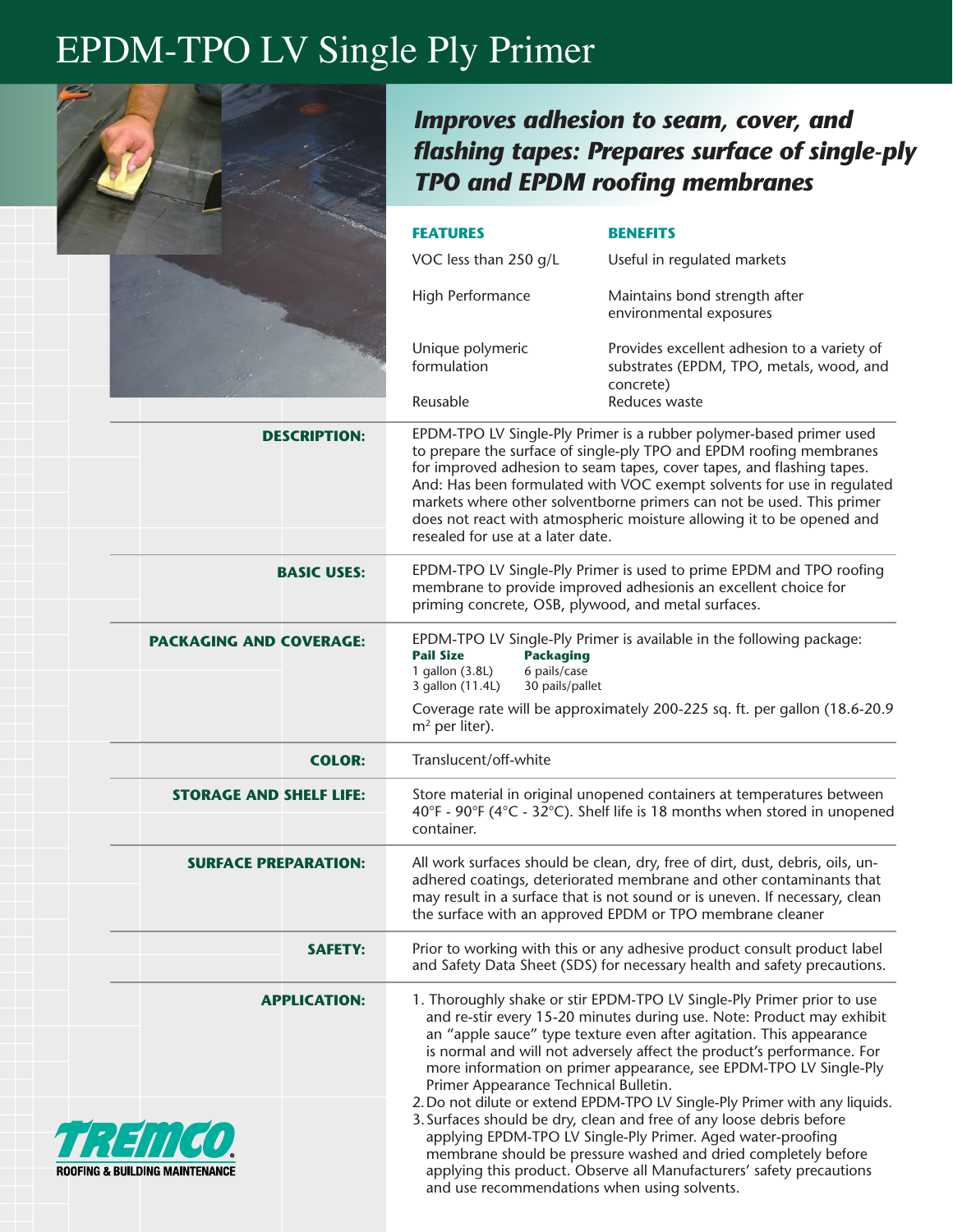## EPDM-TPO LV Single Ply Primer



**ROOFING & BUILDIN** 

## *Improves adhesion to seam, cover, and flashing tapes: Prepares surface of single-ply TPO and EPDM roofing membranes*

|                                | <b>FEATURES</b>                                                                                                                                                                                                                                                                                                                                                                                                                                                                                                                                                      | <b>BENEFITS</b>                                                                                                                                                                                       |  |
|--------------------------------|----------------------------------------------------------------------------------------------------------------------------------------------------------------------------------------------------------------------------------------------------------------------------------------------------------------------------------------------------------------------------------------------------------------------------------------------------------------------------------------------------------------------------------------------------------------------|-------------------------------------------------------------------------------------------------------------------------------------------------------------------------------------------------------|--|
|                                | VOC less than 250 g/L                                                                                                                                                                                                                                                                                                                                                                                                                                                                                                                                                | Useful in regulated markets                                                                                                                                                                           |  |
|                                | High Performance                                                                                                                                                                                                                                                                                                                                                                                                                                                                                                                                                     | Maintains bond strength after<br>environmental exposures                                                                                                                                              |  |
|                                | Unique polymeric<br>formulation                                                                                                                                                                                                                                                                                                                                                                                                                                                                                                                                      | Provides excellent adhesion to a variety of<br>substrates (EPDM, TPO, metals, wood, and<br>concrete)                                                                                                  |  |
|                                | Reusable                                                                                                                                                                                                                                                                                                                                                                                                                                                                                                                                                             | Reduces waste                                                                                                                                                                                         |  |
| <b>DESCRIPTION:</b>            | EPDM-TPO LV Single-Ply Primer is a rubber polymer-based primer used<br>to prepare the surface of single-ply TPO and EPDM roofing membranes<br>for improved adhesion to seam tapes, cover tapes, and flashing tapes.<br>And: Has been formulated with VOC exempt solvents for use in regulated<br>markets where other solventborne primers can not be used. This primer<br>does not react with atmospheric moisture allowing it to be opened and<br>resealed for use at a later date.                                                                                 |                                                                                                                                                                                                       |  |
| <b>BASIC USES:</b>             | EPDM-TPO LV Single-Ply Primer is used to prime EPDM and TPO roofing<br>membrane to provide improved adhesionis an excellent choice for<br>priming concrete, OSB, plywood, and metal surfaces.                                                                                                                                                                                                                                                                                                                                                                        |                                                                                                                                                                                                       |  |
| <b>PACKAGING AND COVERAGE:</b> | EPDM-TPO LV Single-Ply Primer is available in the following package:<br><b>Pail Size</b><br><b>Packaging</b><br>6 pails/case<br>1 gallon (3.8L)<br>30 pails/pallet<br>3 gallon (11.4L)                                                                                                                                                                                                                                                                                                                                                                               |                                                                                                                                                                                                       |  |
|                                | m <sup>2</sup> per liter).                                                                                                                                                                                                                                                                                                                                                                                                                                                                                                                                           | Coverage rate will be approximately 200-225 sq. ft. per gallon (18.6-20.9                                                                                                                             |  |
| <b>COLOR:</b>                  | Translucent/off-white                                                                                                                                                                                                                                                                                                                                                                                                                                                                                                                                                |                                                                                                                                                                                                       |  |
| <b>STORAGE AND SHELF LIFE:</b> | Store material in original unopened containers at temperatures between<br>40°F - 90°F (4°C - 32°C). Shelf life is 18 months when stored in unopened<br>container.                                                                                                                                                                                                                                                                                                                                                                                                    |                                                                                                                                                                                                       |  |
| <b>SURFACE PREPARATION:</b>    | All work surfaces should be clean, dry, free of dirt, dust, debris, oils, un-<br>adhered coatings, deteriorated membrane and other contaminants that<br>may result in a surface that is not sound or is uneven. If necessary, clean<br>the surface with an approved EPDM or TPO membrane cleaner                                                                                                                                                                                                                                                                     |                                                                                                                                                                                                       |  |
| <b>SAFETY:</b>                 |                                                                                                                                                                                                                                                                                                                                                                                                                                                                                                                                                                      | Prior to working with this or any adhesive product consult product label<br>and Safety Data Sheet (SDS) for necessary health and safety precautions.                                                  |  |
| <b>APPLICATION:</b>            | 1. Thoroughly shake or stir EPDM-TPO LV Single-Ply Primer prior to use<br>and re-stir every 15-20 minutes during use. Note: Product may exhibit<br>an "apple sauce" type texture even after agitation. This appearance<br>is normal and will not adversely affect the product's performance. For<br>more information on primer appearance, see EPDM-TPO LV Single-Ply<br>Primer Appearance Technical Bulletin.<br>2. Do not dilute or extend EPDM-TPO LV Single-Ply Primer with any liquids.<br>3. Surfaces should be dry, clean and free of any loose debris before |                                                                                                                                                                                                       |  |
| NG MAINTENANCE                 | and use recommendations when using solvents.                                                                                                                                                                                                                                                                                                                                                                                                                                                                                                                         | applying EPDM-TPO LV Single-Ply Primer. Aged water-proofing<br>membrane should be pressure washed and dried completely before<br>applying this product. Observe all Manufacturers' safety precautions |  |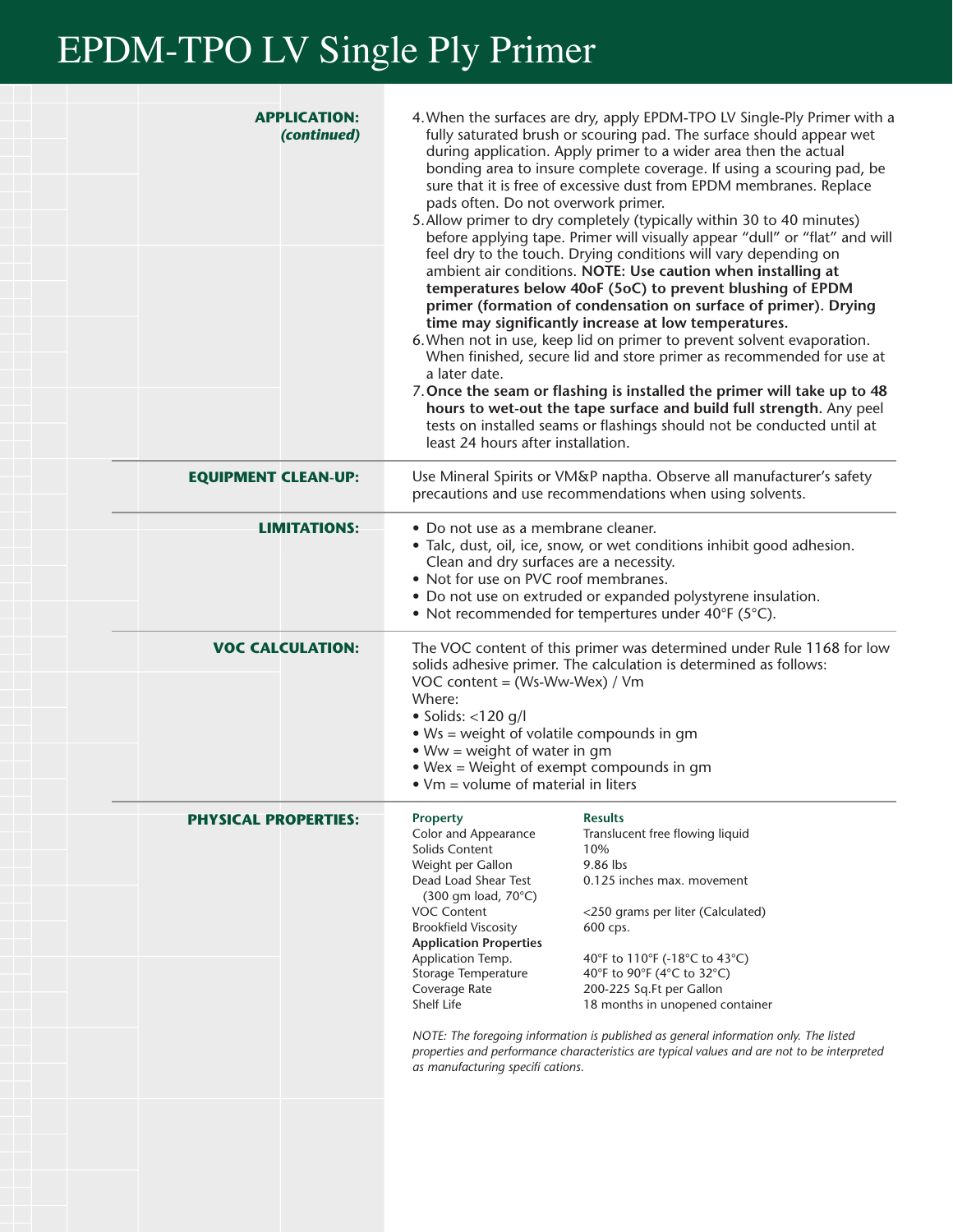## EPDM-TPO LV Single Ply Primer

|                             | <b>APPLICATION:</b><br>(continued) | 4. When the surfaces are dry, apply EPDM-TPO LV Single-Ply Primer with a<br>fully saturated brush or scouring pad. The surface should appear wet<br>during application. Apply primer to a wider area then the actual<br>bonding area to insure complete coverage. If using a scouring pad, be<br>sure that it is free of excessive dust from EPDM membranes. Replace<br>pads often. Do not overwork primer.<br>5. Allow primer to dry completely (typically within 30 to 40 minutes)<br>before applying tape. Primer will visually appear "dull" or "flat" and will<br>feel dry to the touch. Drying conditions will vary depending on<br>ambient air conditions. NOTE: Use caution when installing at<br>temperatures below 40oF (5oC) to prevent blushing of EPDM<br>primer (formation of condensation on surface of primer). Drying<br>time may significantly increase at low temperatures.<br>6. When not in use, keep lid on primer to prevent solvent evaporation.<br>When finished, secure lid and store primer as recommended for use at<br>a later date.<br>7. Once the seam or flashing is installed the primer will take up to 48<br>hours to wet-out the tape surface and build full strength. Any peel<br>tests on installed seams or flashings should not be conducted until at<br>least 24 hours after installation. |                                                                                                                                                                                                                                                                                                                                                                                                                                                                          |  |
|-----------------------------|------------------------------------|-------------------------------------------------------------------------------------------------------------------------------------------------------------------------------------------------------------------------------------------------------------------------------------------------------------------------------------------------------------------------------------------------------------------------------------------------------------------------------------------------------------------------------------------------------------------------------------------------------------------------------------------------------------------------------------------------------------------------------------------------------------------------------------------------------------------------------------------------------------------------------------------------------------------------------------------------------------------------------------------------------------------------------------------------------------------------------------------------------------------------------------------------------------------------------------------------------------------------------------------------------------------------------------------------------------------------------------|--------------------------------------------------------------------------------------------------------------------------------------------------------------------------------------------------------------------------------------------------------------------------------------------------------------------------------------------------------------------------------------------------------------------------------------------------------------------------|--|
| <b>EQUIPMENT CLEAN-UP:</b>  |                                    | Use Mineral Spirits or VM&P naptha. Observe all manufacturer's safety<br>precautions and use recommendations when using solvents.                                                                                                                                                                                                                                                                                                                                                                                                                                                                                                                                                                                                                                                                                                                                                                                                                                                                                                                                                                                                                                                                                                                                                                                                   |                                                                                                                                                                                                                                                                                                                                                                                                                                                                          |  |
|                             | <b>LIMITATIONS:</b>                | • Do not use as a membrane cleaner.<br>• Talc, dust, oil, ice, snow, or wet conditions inhibit good adhesion.<br>Clean and dry surfaces are a necessity.<br>• Not for use on PVC roof membranes.<br>• Do not use on extruded or expanded polystyrene insulation.<br>• Not recommended for tempertures under 40°F (5°C).                                                                                                                                                                                                                                                                                                                                                                                                                                                                                                                                                                                                                                                                                                                                                                                                                                                                                                                                                                                                             |                                                                                                                                                                                                                                                                                                                                                                                                                                                                          |  |
|                             | <b>VOC CALCULATION:</b>            | The VOC content of this primer was determined under Rule 1168 for low<br>solids adhesive primer. The calculation is determined as follows:<br>VOC content = (Ws-Ww-Wex) / Vm<br>Where:<br>$\bullet$ Solids: <120 g/l<br>• Ws = weight of volatile compounds in gm<br>$Ww = weight of water in gm$<br>• Wex = Weight of exempt compounds in gm<br>$\bullet$ Vm = volume of material in liters                                                                                                                                                                                                                                                                                                                                                                                                                                                                                                                                                                                                                                                                                                                                                                                                                                                                                                                                        |                                                                                                                                                                                                                                                                                                                                                                                                                                                                          |  |
| <b>PHYSICAL PROPERTIES:</b> |                                    | <b>Property</b><br>Color and Appearance<br>Solids Content<br>Weight per Gallon<br>Dead Load Shear Test<br>(300 gm load, 70°C)<br><b>VOC Content</b><br><b>Brookfield Viscosity</b><br><b>Application Properties</b><br>Application Temp.<br>Storage Temperature<br>Coverage Rate<br>Shelf Life<br>as manufacturing specifi cations.                                                                                                                                                                                                                                                                                                                                                                                                                                                                                                                                                                                                                                                                                                                                                                                                                                                                                                                                                                                                 | <b>Results</b><br>Translucent free flowing liquid<br>10%<br>9.86 lbs<br>0.125 inches max. movement<br><250 grams per liter (Calculated)<br>600 cps.<br>40°F to 110°F (-18°C to 43°C)<br>40°F to 90°F (4°C to 32°C)<br>200-225 Sq.Ft per Gallon<br>18 months in unopened container<br>NOTE: The foregoing information is published as general information only. The listed<br>properties and performance characteristics are typical values and are not to be interpreted |  |
|                             |                                    |                                                                                                                                                                                                                                                                                                                                                                                                                                                                                                                                                                                                                                                                                                                                                                                                                                                                                                                                                                                                                                                                                                                                                                                                                                                                                                                                     |                                                                                                                                                                                                                                                                                                                                                                                                                                                                          |  |